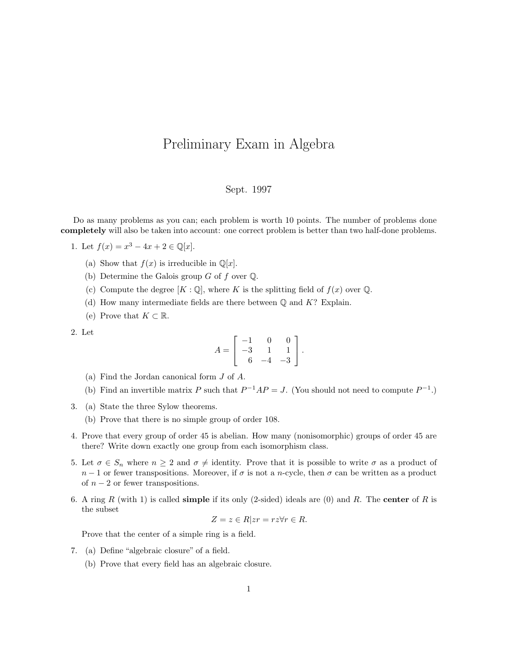## Preliminary Exam in Algebra

## Sept. 1997

Do as many problems as you can; each problem is worth 10 points. The number of problems done completely will also be taken into account: one correct problem is better than two half-done problems.

1. Let  $f(x) = x^3 - 4x + 2 \in \mathbb{Q}[x]$ .

- (a) Show that  $f(x)$  is irreducible in  $\mathbb{Q}[x]$ .
- (b) Determine the Galois group  $G$  of  $f$  over  $\mathbb Q$ .
- (c) Compute the degree  $[K : \mathbb{Q}]$ , where K is the splitting field of  $f(x)$  over  $\mathbb{Q}$ .
- (d) How many intermediate fields are there between  $\mathbb{O}$  and K? Explain.
- (e) Prove that  $K \subset \mathbb{R}$ .

2. Let

$$
A = \begin{bmatrix} -1 & 0 & 0 \\ -3 & 1 & 1 \\ 6 & -4 & -3 \end{bmatrix}.
$$

- (a) Find the Jordan canonical form J of A.
- (b) Find an invertible matrix P such that  $P^{-1}AP = J$ . (You should not need to compute  $P^{-1}$ .)
- 3. (a) State the three Sylow theorems.
	- (b) Prove that there is no simple group of order 108.
- 4. Prove that every group of order 45 is abelian. How many (nonisomorphic) groups of order 45 are there? Write down exactly one group from each isomorphism class.
- 5. Let  $\sigma \in S_n$  where  $n \geq 2$  and  $\sigma \neq$  identity. Prove that it is possible to write  $\sigma$  as a product of  $n-1$  or fewer transpositions. Moreover, if  $\sigma$  is not a n-cycle, then  $\sigma$  can be written as a product of  $n-2$  or fewer transpositions.
- 6. A ring R (with 1) is called **simple** if its only (2-sided) ideals are (0) and R. The **center** of R is the subset

$$
Z = z \in R | zr = rz \forall r \in R.
$$

Prove that the center of a simple ring is a field.

- 7. (a) Define "algebraic closure" of a field.
	- (b) Prove that every field has an algebraic closure.